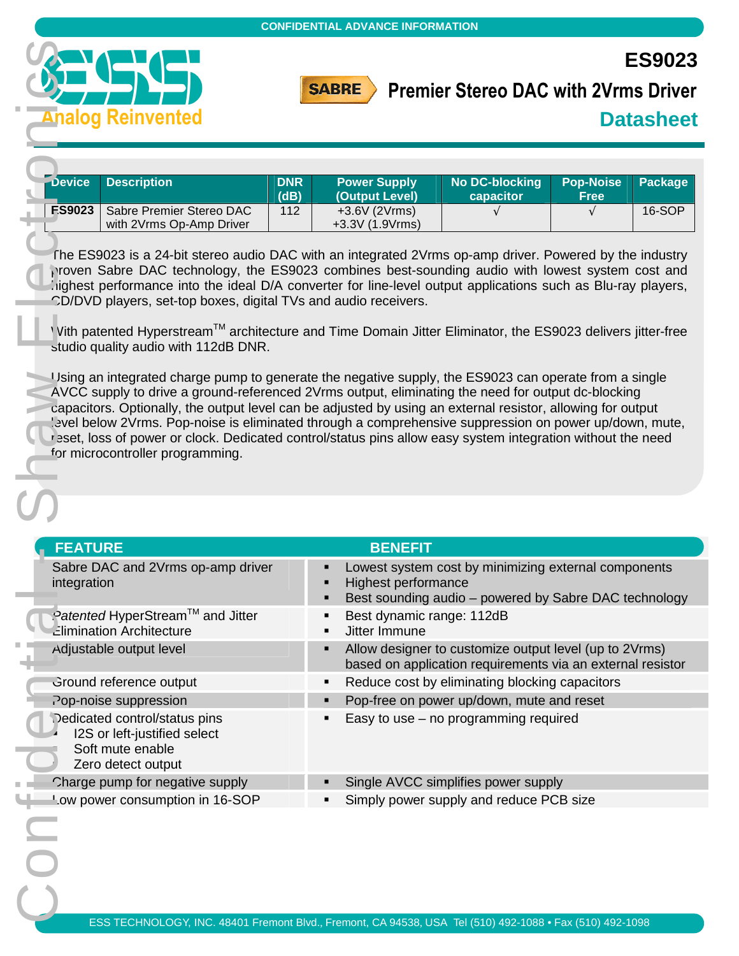



# **Premier Stereo DAC with 2Vrms Driver**

|               | <b>Device Description</b>                            | <b>DNR</b><br>(dB) | <b>Power Supply</b><br>(Output Level) | No DC-blocking Pop-Noise Package<br>capacitor | <b>Free</b> |        |
|---------------|------------------------------------------------------|--------------------|---------------------------------------|-----------------------------------------------|-------------|--------|
| <b>ES9023</b> | Sabre Premier Stereo DAC<br>with 2Vrms Op-Amp Driver | 112                | $+3.6V(2Vrms)$<br>$+3.3V(1.9Vrms)$    |                                               |             | 16-SOP |

|                                                                                                         | <b>CONFIDENTIAL ADVANCE INFORMATION</b>                                                                                                                                                                                                                                                                                                                                                                                                                                                                                                              |
|---------------------------------------------------------------------------------------------------------|------------------------------------------------------------------------------------------------------------------------------------------------------------------------------------------------------------------------------------------------------------------------------------------------------------------------------------------------------------------------------------------------------------------------------------------------------------------------------------------------------------------------------------------------------|
|                                                                                                         | <b>ES9023</b><br><b>SABRE</b><br><b>Premier Stereo DAC with 2Vrms Driver</b>                                                                                                                                                                                                                                                                                                                                                                                                                                                                         |
| <b>Analog Reinvented</b>                                                                                | <b>Datasheet</b>                                                                                                                                                                                                                                                                                                                                                                                                                                                                                                                                     |
| <b>Description</b><br><b>Device</b><br><b>DNR</b>                                                       | <b>No DC-blocking</b><br><b>Power Supply</b><br><b>Pop-Noise</b><br><b>Package</b>                                                                                                                                                                                                                                                                                                                                                                                                                                                                   |
| (dB)<br>Sabre Premier Stereo DAC<br><b>ES9023</b><br>112<br>with 2Vrms Op-Amp Driver                    | (Output Level)<br>capacitor<br><b>Free</b><br>+3.6V (2Vrms)<br>16-SOP<br>$\sqrt{ }$<br>+3.3V (1.9Vrms)                                                                                                                                                                                                                                                                                                                                                                                                                                               |
| CD/DVD players, set-top boxes, digital TVs and audio receivers.                                         | The ES9023 is a 24-bit stereo audio DAC with an integrated 2Vrms op-amp driver. Powered by the industry<br>roven Sabre DAC technology, the ES9023 combines best-sounding audio with lowest system cost and<br>ighest performance into the ideal D/A converter for line-level output applications such as Blu-ray players,                                                                                                                                                                                                                            |
| studio quality audio with 112dB DNR.                                                                    | Vith patented Hyperstream™ architecture and Time Domain Jitter Eliminator, the ES9023 delivers jitter-free                                                                                                                                                                                                                                                                                                                                                                                                                                           |
| for microcontroller programming.                                                                        | Using an integrated charge pump to generate the negative supply, the ES9023 can operate from a single<br>AVCC supply to drive a ground-referenced 2Vrms output, eliminating the need for output dc-blocking<br>capacitors. Optionally, the output level can be adjusted by using an external resistor, allowing for output<br>'evel below 2Vrms. Pop-noise is eliminated through a comprehensive suppression on power up/down, mute,<br>r aset, loss of power or clock. Dedicated control/status pins allow easy system integration without the need |
|                                                                                                         |                                                                                                                                                                                                                                                                                                                                                                                                                                                                                                                                                      |
| <b>FEATURE</b>                                                                                          | <b>BENEFIT</b>                                                                                                                                                                                                                                                                                                                                                                                                                                                                                                                                       |
| Sabre DAC and 2Vrms op-amp driver<br>integration                                                        | Lowest system cost by minimizing external components<br>п<br>Highest performance<br>п<br>Best sounding audio - powered by Sabre DAC technology<br>П                                                                                                                                                                                                                                                                                                                                                                                                  |
| Patented HyperStream™ and Jitter                                                                        | Best dynamic range: 112dB<br>п                                                                                                                                                                                                                                                                                                                                                                                                                                                                                                                       |
| <b>Zlimination Architecture</b><br>Adjustable output level                                              | Jitter Immune<br>$\blacksquare$<br>Allow designer to customize output level (up to 2Vrms)<br>п<br>based on application requirements via an external resistor                                                                                                                                                                                                                                                                                                                                                                                         |
| Ground reference output                                                                                 | Reduce cost by eliminating blocking capacitors<br>٠                                                                                                                                                                                                                                                                                                                                                                                                                                                                                                  |
| Pop-noise suppression                                                                                   | Pop-free on power up/down, mute and reset<br>п                                                                                                                                                                                                                                                                                                                                                                                                                                                                                                       |
| Dedicated control/status pins<br>I2S or left-justified select<br>Soft mute enable<br>Zero detect output | Easy to use $-$ no programming required<br>Ξ                                                                                                                                                                                                                                                                                                                                                                                                                                                                                                         |
| Charge pump for negative supply                                                                         | Single AVCC simplifies power supply                                                                                                                                                                                                                                                                                                                                                                                                                                                                                                                  |
| Low power consumption in 16-SOP                                                                         | Simply power supply and reduce PCB size                                                                                                                                                                                                                                                                                                                                                                                                                                                                                                              |
|                                                                                                         |                                                                                                                                                                                                                                                                                                                                                                                                                                                                                                                                                      |
|                                                                                                         |                                                                                                                                                                                                                                                                                                                                                                                                                                                                                                                                                      |
|                                                                                                         | FOO TEOUNOLOOV INO, 40404 Frances Divil Frances OA 04500 UOA T-U/540) 400 4000 - Fay (540) 400 4000                                                                                                                                                                                                                                                                                                                                                                                                                                                  |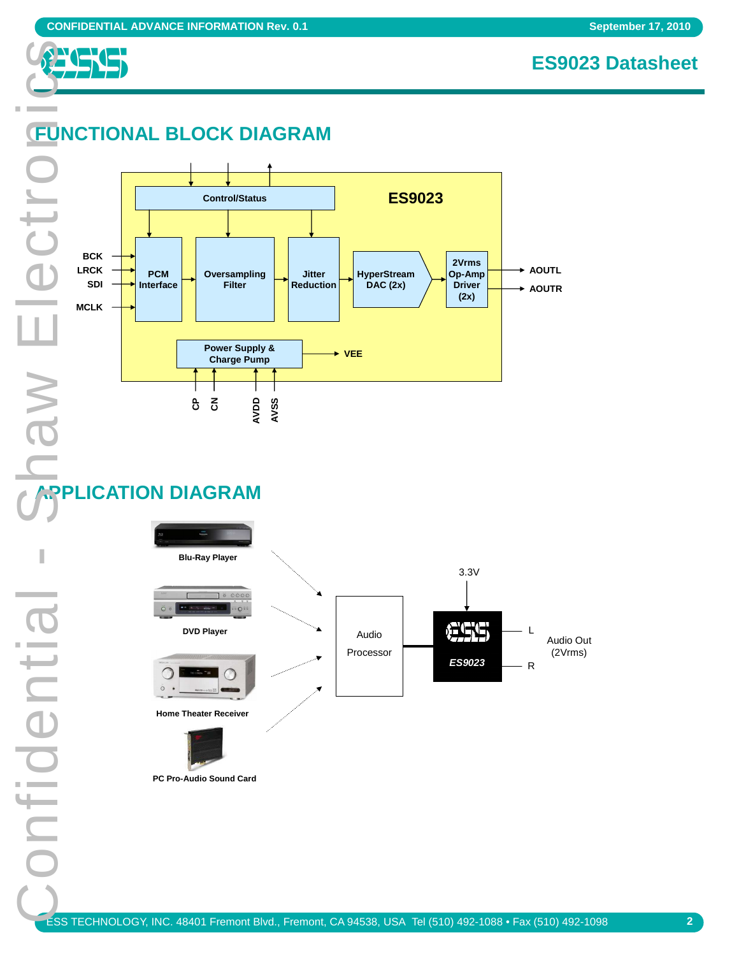

# **FUNCTIONAL BLOCK DIAGRAM**

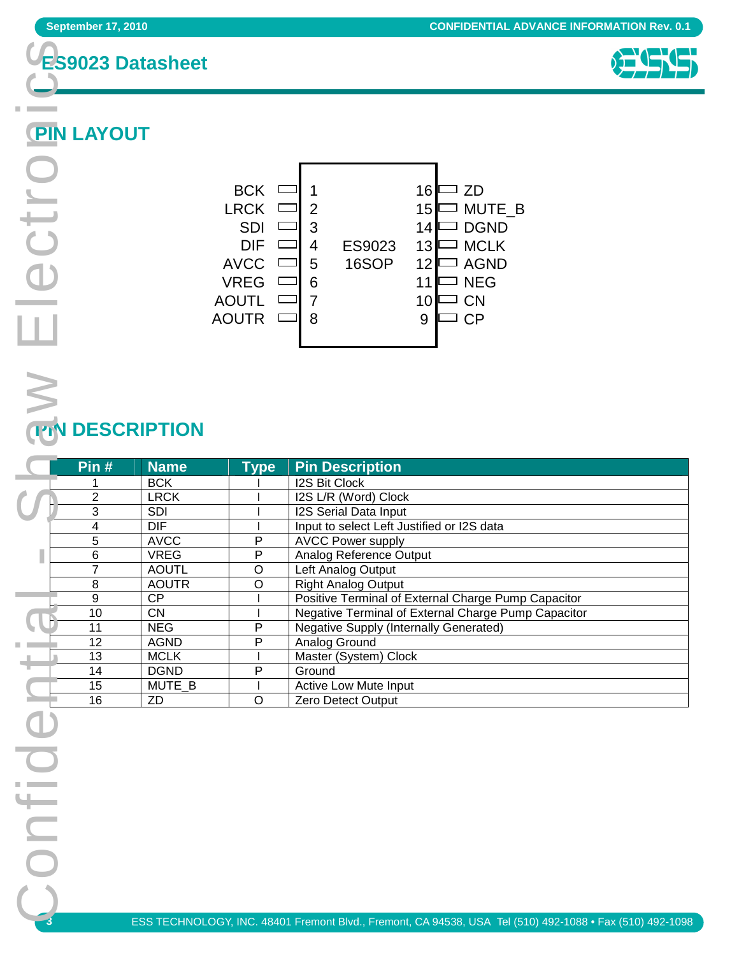



# **PIN LAYOUT**

×

 $W \in$ lectro



# **PIN DESCRIPTION**

| Pin#           | <b>Name</b>  | <b>Type</b> | <b>Pin Description</b>                              |
|----------------|--------------|-------------|-----------------------------------------------------|
|                | <b>BCK</b>   |             | <b>I2S Bit Clock</b>                                |
| $\overline{2}$ | <b>LRCK</b>  |             | I2S L/R (Word) Clock                                |
| 3              | <b>SDI</b>   |             | I2S Serial Data Input                               |
| 4              | <b>DIF</b>   |             | Input to select Left Justified or I2S data          |
| 5              | <b>AVCC</b>  | P           | <b>AVCC Power supply</b>                            |
| 6              | <b>VREG</b>  | P           | Analog Reference Output                             |
| 7              | <b>AOUTL</b> | O           | Left Analog Output                                  |
| 8              | <b>AOUTR</b> | O           | <b>Right Analog Output</b>                          |
| 9              | CP           |             | Positive Terminal of External Charge Pump Capacitor |
| 10             | CN.          |             | Negative Terminal of External Charge Pump Capacitor |
| 11             | <b>NEG</b>   | P           | <b>Negative Supply (Internally Generated)</b>       |
| 12             | <b>AGND</b>  | P           | Analog Ground                                       |
| 13             | <b>MCLK</b>  |             | Master (System) Clock                               |
| 14             | <b>DGND</b>  | P           | Ground                                              |
| 15             | MUTE_B       |             | Active Low Mute Input                               |
| 16             | ZD           | O           | Zero Detect Output                                  |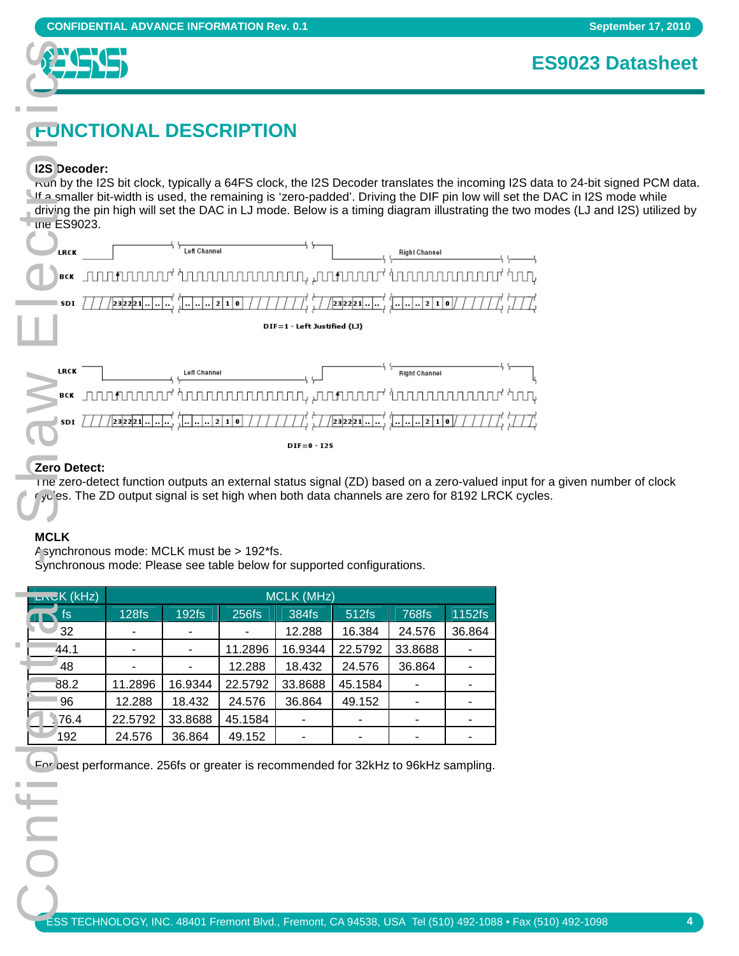

# **FUNCTIONAL DESCRIPTION**

#### **I2S Decoder:**

Run by the I2S bit clock, typically a 64FS clock, the I2S Decoder translates the incoming I2S data to 24-bit signed PCM data. If a smaller bit-width is used, the remaining is 'zero-padded'. Driving the DIF pin low will set the DAC in I2S mode while driving the pin high will set the DAC in LJ mode. Below is a timing diagram illustrating the two modes (LJ and I2S) utilized by the ES9023.



#### **Zero Detect:**

The zero-detect function outputs an external status signal (ZD) based on a zero-valued input for a given number of clock  $\sqrt{y}$  es. The ZD output signal is set high when both data channels are zero for 8192 LRCK cycles.

#### **MCLK**

Asynchronous mode: MCLK must be > 192\*fs. Synchronous mode: Please see table below for supported configurations.

| $L \sim K (kHz)$ |                   |                   |         | <b>MCLK (MHz)</b>        |         |              |        |  |
|------------------|-------------------|-------------------|---------|--------------------------|---------|--------------|--------|--|
| fs               | 128f <sub>S</sub> | 192f <sub>S</sub> | 256fs   | 384fs                    | 512fs   | <b>768fs</b> | 1152fs |  |
| 32               |                   |                   |         | 12.288                   | 16.384  | 24.576       | 36.864 |  |
| 44.1             |                   |                   | 11.2896 | 16.9344                  | 22.5792 | 33.8688      |        |  |
| 48               |                   |                   | 12.288  | 18.432                   | 24.576  | 36.864       |        |  |
| 88.2             | 11.2896           | 16.9344           | 22.5792 | 33.8688                  | 45.1584 | -            |        |  |
| 96               | 12.288            | 18.432            | 24.576  | 36.864                   | 49.152  | ٠            |        |  |
| 76.4             | 22.5792           | 33.8688           | 45.1584 | ۰                        |         |              |        |  |
| 192              | 24.576            | 36.864            | 49.152  | $\overline{\phantom{a}}$ | -       |              |        |  |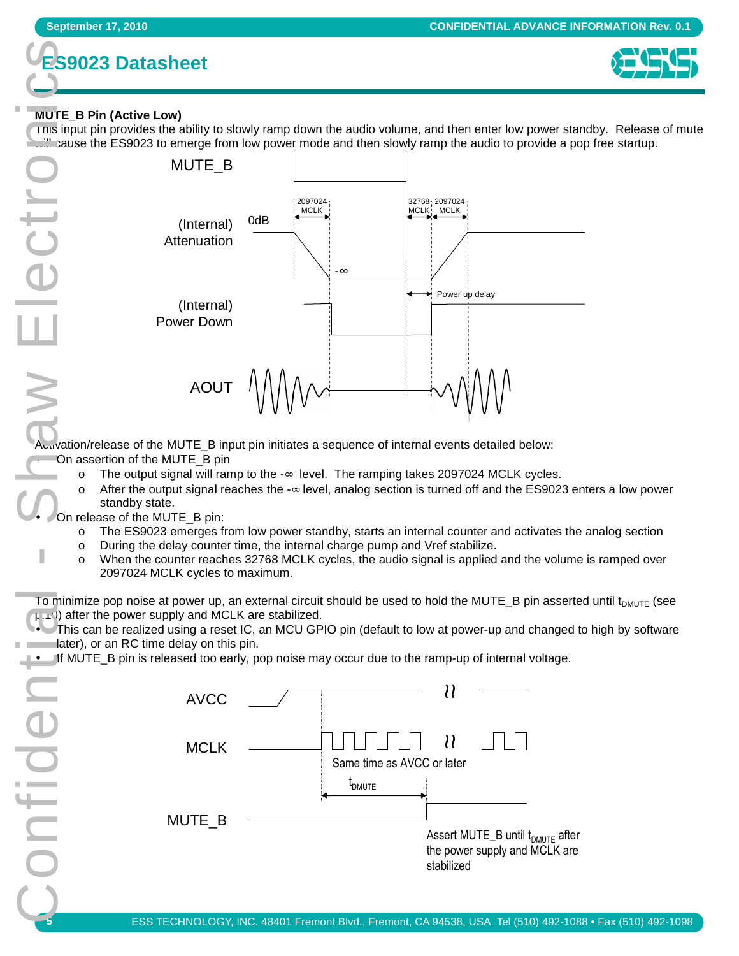



#### **MUTE\_B Pin (Active Low)**

 $\mathbb{R}^n$ 

This input pin provides the ability to slowly ramp down the audio volume, and then enter low power standby. Release of mute cause the ES9023 to emerge from low power mode and then slowly ramp the audio to provide a pop free startup.



Activation/release of the MUTE\_B input pin initiates a sequence of internal events detailed below: • On assertion of the MUTE\_B pin

- $\circ$  The output signal will ramp to the -∞ level. The ramping takes 2097024 MCLK cycles.
- o After the output signal reaches the -∞ level, analog section is turned off and the ES9023 enters a low power standby state.

On release of the MUTE\_B pin:

onfide

- o The ES9023 emerges from low power standby, starts an internal counter and activates the analog section
- o During the delay counter time, the internal charge pump and Vref stabilize.
- o When the counter reaches 32768 MCLK cycles, the audio signal is applied and the volume is ramped over 2097024 MCLK cycles to maximum.

To minimize pop noise at power up, an external circuit should be used to hold the MUTE\_B pin asserted until  $t_{DMUTE}$  (see  $p(x)$  after the power supply and MCLK are stabilized.

• This can be realized using a reset IC, an MCU GPIO pin (default to low at power-up and changed to high by software **Example 1** ater), or an RC time delay on this pin.

#### • If MUTE\_B pin is released too early, pop noise may occur due to the ramp-up of internal voltage.

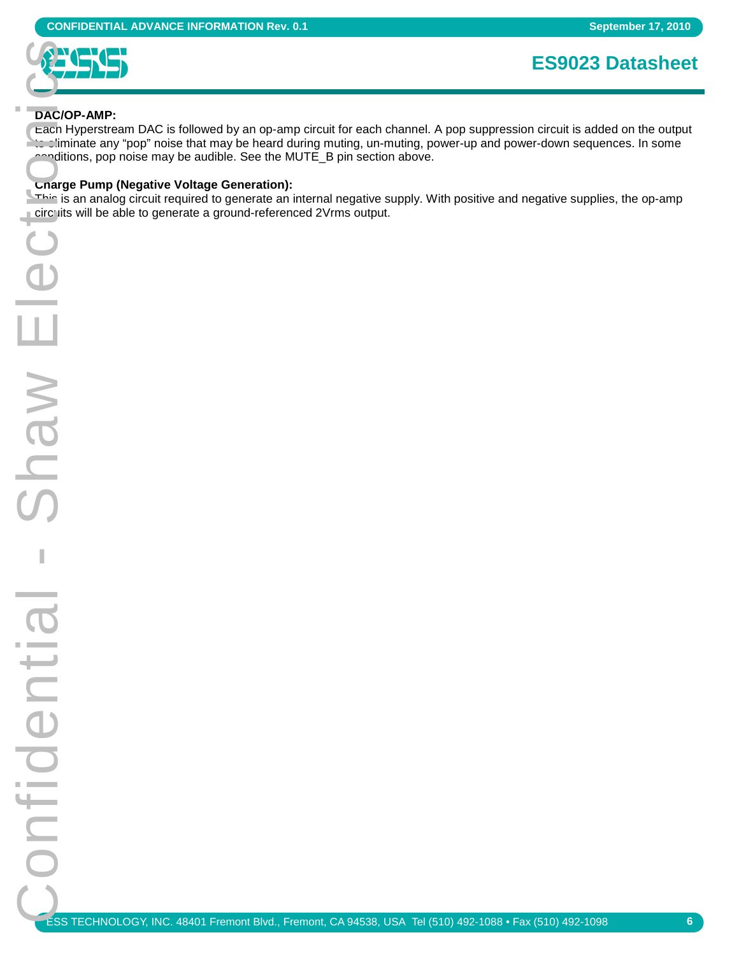

#### **DAC/OP-AMP:**

Each Hyperstream DAC is followed by an op-amp circuit for each channel. A pop suppression circuit is added on the output to eliminate any "pop" noise that may be heard during muting, un-muting, power-up and power-down sequences. In some conditions, pop noise may be audible. See the MUTE\_B pin section above.

#### **Charge Pump (Negative Voltage Generation):**

This is an analog circuit required to generate an internal negative supply. With positive and negative supplies, the op-amp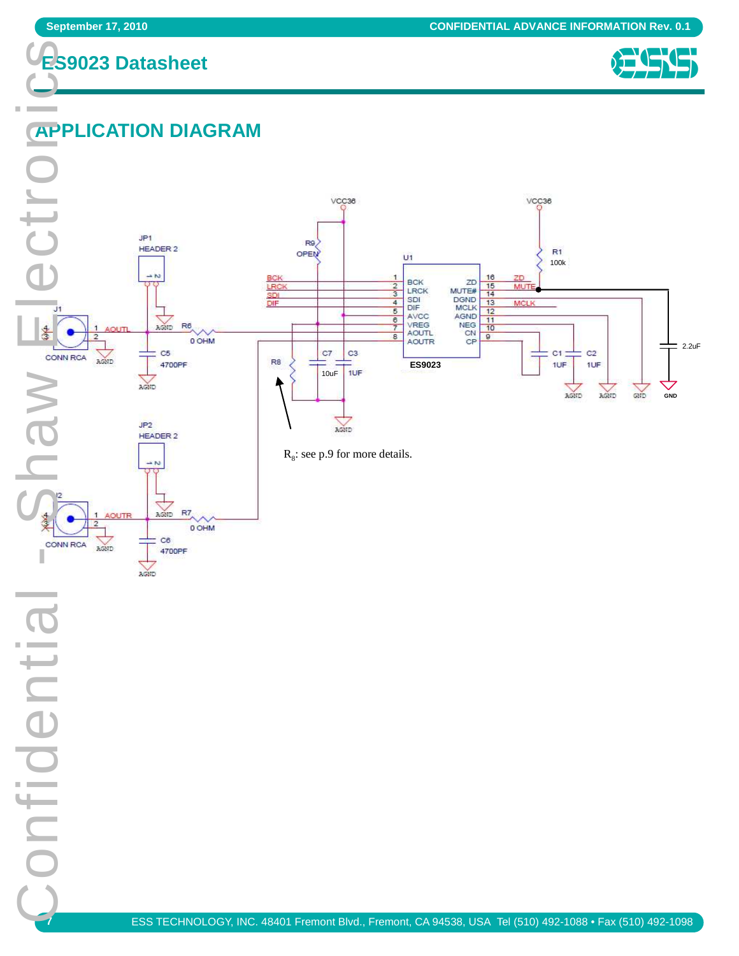$\blacksquare$ **Contract** 





# **APPLICATION DIAGRAM**

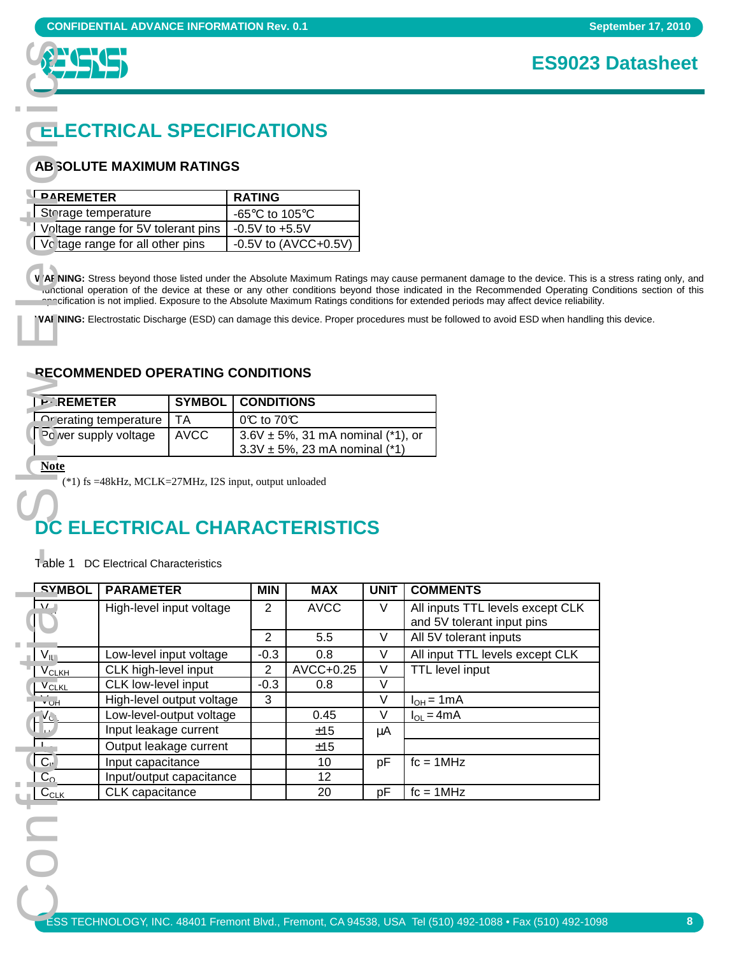

# **ELECTRICAL SPECIFICATIONS**

#### **ABSOLUTE MAXIMUM RATINGS**

| LPAREMETER                         | <b>RATING</b>                                        |
|------------------------------------|------------------------------------------------------|
| Storage temperature                | -65 $\mathrm{^{\circ}C}$ to 105 $\mathrm{^{\circ}C}$ |
| Voltage range for 5V tolerant pins | $-0.5V$ to $+5.5V$                                   |
| Vo tage range for all other pins   | $-0.5V$ to $(AVCC+0.5V)$                             |

W AF NING: Stress beyond those listed under the Absolute Maximum Ratings may cause permanent damage to the device. This is a stress rating only, and runctional operation of the device at these or any other conditions beyond those indicated in the Recommended Operating Conditions section of this specification is not implied. Exposure to the Absolute Maximum Ratings conditions for extended periods may affect device reliability.

**WARNING:** Electrostatic Discharge (ESD) can damage this device. Proper procedures must be followed to avoid ESD when handling this device.

#### **RECOMMENDED OPERATING CONDITIONS**

| <b>P</b> REMETER             |        | <b>SYMBOL   CONDITIONS</b>                                                           |
|------------------------------|--------|--------------------------------------------------------------------------------------|
| L Onerating temperature   TA |        | $0^\circ$ to 70 $^\circ$                                                             |
| l Po ver supply voltage      | I AVCC | $3.6V \pm 5%$ , 31 mA nominal (*1), or<br>$13.3V \pm 5\%, 23 \text{ mA nominal (*)}$ |

# **DC ELECTRICAL CHARACTERISTICS**

|                                                                                             | <b>CONFIDENTIAL ADVANCE INFORMATION Rev. 0.1</b>                       |                            |                                                      |                                                |        |                                                                                                                                                                                                                                                         |  |  |
|---------------------------------------------------------------------------------------------|------------------------------------------------------------------------|----------------------------|------------------------------------------------------|------------------------------------------------|--------|---------------------------------------------------------------------------------------------------------------------------------------------------------------------------------------------------------------------------------------------------------|--|--|
|                                                                                             |                                                                        |                            |                                                      |                                                |        | <b>ES9023</b>                                                                                                                                                                                                                                           |  |  |
|                                                                                             |                                                                        |                            |                                                      |                                                |        |                                                                                                                                                                                                                                                         |  |  |
|                                                                                             |                                                                        |                            |                                                      |                                                |        |                                                                                                                                                                                                                                                         |  |  |
|                                                                                             | <b>ELECTRICAL SPECIFICATIONS</b>                                       |                            |                                                      |                                                |        |                                                                                                                                                                                                                                                         |  |  |
|                                                                                             | <b>AB SOLUTE MAXIMUM RATINGS</b>                                       |                            |                                                      |                                                |        |                                                                                                                                                                                                                                                         |  |  |
| <b>PAREMETER</b>                                                                            |                                                                        |                            | <b>RATING</b>                                        |                                                |        |                                                                                                                                                                                                                                                         |  |  |
| Storage temperature                                                                         |                                                                        |                            | -65 $\mathrm{^{\circ}C}$ to 105 $\mathrm{^{\circ}C}$ |                                                |        |                                                                                                                                                                                                                                                         |  |  |
|                                                                                             | Voltage range for 5V tolerant pins<br>Vo tage range for all other pins |                            |                                                      | $-0.5V$ to $+5.5V$                             |        |                                                                                                                                                                                                                                                         |  |  |
| - -                                                                                         |                                                                        |                            |                                                      | -0.5V to $(AVCC+0.5V)$                         |        |                                                                                                                                                                                                                                                         |  |  |
|                                                                                             |                                                                        |                            |                                                      |                                                |        |                                                                                                                                                                                                                                                         |  |  |
|                                                                                             |                                                                        |                            |                                                      |                                                |        | V AF NING: Stress beyond those listed under the Absolute Maximum Ratings may cause permanent damage to the device. This is<br>conctional operation of the device at these or any other conditions beyond those indicated in the Recommended Operating C |  |  |
|                                                                                             |                                                                        |                            |                                                      |                                                |        | enn cification is not implied. Exposure to the Absolute Maximum Ratings conditions for extended periods may affect device reliability                                                                                                                   |  |  |
|                                                                                             |                                                                        |                            |                                                      |                                                |        | 'VAFNING: Electrostatic Discharge (ESD) can damage this device. Proper procedures must be followed to avoid ESD when handlin                                                                                                                            |  |  |
|                                                                                             |                                                                        |                            |                                                      |                                                |        |                                                                                                                                                                                                                                                         |  |  |
|                                                                                             | <b>RECOMMENDED OPERATING CONDITIONS</b>                                |                            |                                                      |                                                |        |                                                                                                                                                                                                                                                         |  |  |
|                                                                                             |                                                                        |                            |                                                      |                                                |        |                                                                                                                                                                                                                                                         |  |  |
| <b>P</b> REMETER                                                                            |                                                                        | <b>SYMBOL</b><br><b>TA</b> | <b>CONDITIONS</b><br>0℃ to 70℃                       |                                                |        |                                                                                                                                                                                                                                                         |  |  |
|                                                                                             | Operating temperature<br>Po ver supply voltage                         | <b>AVCC</b>                |                                                      | $3.6V \pm 5\%, 31 \text{ mA nominal (*1), or}$ |        |                                                                                                                                                                                                                                                         |  |  |
|                                                                                             |                                                                        |                            |                                                      | $3.3V \pm 5%$ , 23 mA nominal (*1)             |        |                                                                                                                                                                                                                                                         |  |  |
| <b>Note</b>                                                                                 | (*1) fs =48kHz, MCLK=27MHz, I2S input, output unloaded                 |                            |                                                      |                                                |        |                                                                                                                                                                                                                                                         |  |  |
|                                                                                             |                                                                        |                            |                                                      |                                                |        |                                                                                                                                                                                                                                                         |  |  |
|                                                                                             |                                                                        |                            |                                                      |                                                |        |                                                                                                                                                                                                                                                         |  |  |
|                                                                                             |                                                                        |                            |                                                      | <b>DC ELECTRICAL CHARACTERISTICS</b>           |        |                                                                                                                                                                                                                                                         |  |  |
|                                                                                             | Table 1 DC Electrical Characteristics                                  |                            |                                                      |                                                |        |                                                                                                                                                                                                                                                         |  |  |
|                                                                                             | <b>PARAMETER</b>                                                       |                            | <b>MIN</b>                                           | <b>MAX</b>                                     | UNIT   | <b>COMMENTS</b>                                                                                                                                                                                                                                         |  |  |
|                                                                                             |                                                                        | High-level input voltage   | $\overline{2}$                                       | <b>AVCC</b>                                    | V      | All inputs TTL levels except CLK                                                                                                                                                                                                                        |  |  |
|                                                                                             |                                                                        |                            |                                                      |                                                |        | and 5V tolerant input pins                                                                                                                                                                                                                              |  |  |
|                                                                                             |                                                                        |                            | $\overline{2}$                                       | 5.5                                            | $\vee$ | All 5V tolerant inputs                                                                                                                                                                                                                                  |  |  |
|                                                                                             |                                                                        | Low-level input voltage    | $-0.3$                                               | 0.8                                            | V<br>V | All input TTL levels except CLK<br><b>TTL</b> level input                                                                                                                                                                                               |  |  |
|                                                                                             | CLK high-level input<br>CLK low-level input                            |                            | $\overline{c}$<br>$-0.3$                             | AVCC+0.25<br>0.8                               | V      |                                                                                                                                                                                                                                                         |  |  |
|                                                                                             |                                                                        | High-level output voltage  | 3                                                    |                                                | V      | $I_{OH} = 1mA$                                                                                                                                                                                                                                          |  |  |
| <br>אט י                                                                                    |                                                                        | Low-level-output voltage   |                                                      | 0.45                                           | $\vee$ | $I_{OL} = 4mA$                                                                                                                                                                                                                                          |  |  |
| $V_{\parallel}$<br>$\rm V_{CLKH}$<br><b>V<sub>CLKL</sub></b>                                | Input leakage current                                                  |                            |                                                      | ±15                                            | μA     |                                                                                                                                                                                                                                                         |  |  |
|                                                                                             | Input capacitance                                                      | Output leakage current     |                                                      | ±15<br>10                                      | pF     | $fc = 1MHz$                                                                                                                                                                                                                                             |  |  |
| <b>SYMBOL</b><br>$\overline{V}$<br>C<br>⊔.<br>$\overline{C}$ <sup>b</sup><br>C <sub>o</sub> | CLK capacitance                                                        | Input/output capacitance   |                                                      | 12<br>20                                       |        | $fc = 1MHz$                                                                                                                                                                                                                                             |  |  |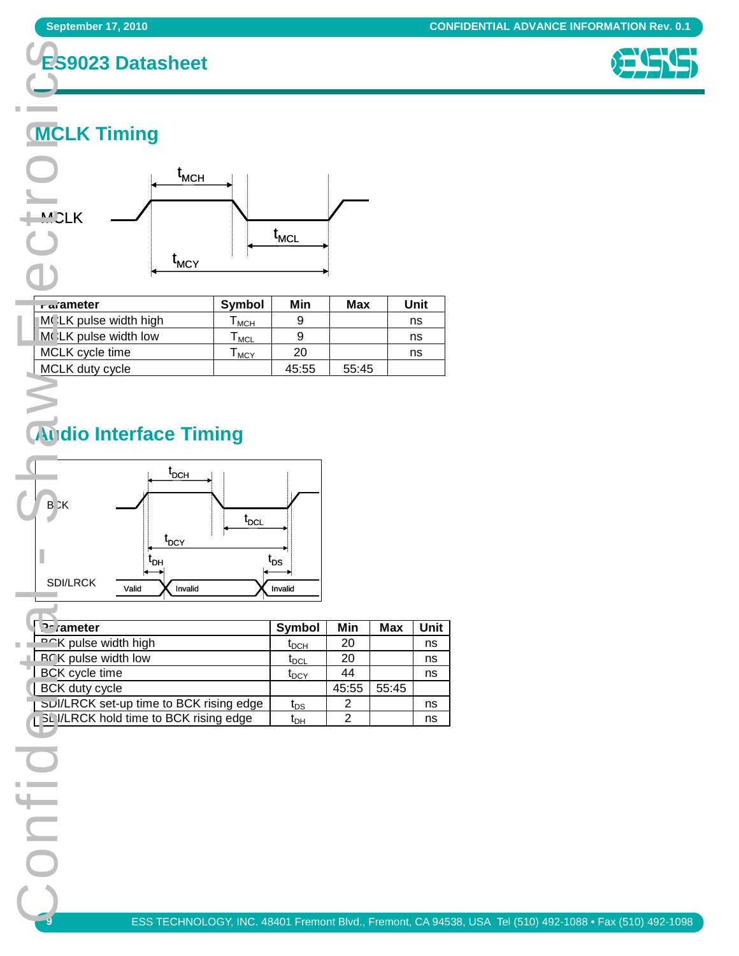



# **MCLK Timing**



| a ameter              | Symbol     | Min   | Max   | Unit |
|-----------------------|------------|-------|-------|------|
| MCLK pulse width high | <b>MCH</b> |       |       | ns   |
| MCLK pulse width low  | <b>MCL</b> |       |       | ns   |
| MCLK cycle time       | <b>MCY</b> | 20    |       | ns   |
| MCLK duty cycle       |            | 45:55 | 55:45 |      |

# **Audio Interface Timing**



| <b>Pameter</b>                           | Symbol                        | Min   | Max   | Unit |
|------------------------------------------|-------------------------------|-------|-------|------|
| <b>DCK</b> pulse width high              | $t_{\sf DCH}$                 | -20   |       | ns   |
| <b>RCK</b> pulse width low               | $\mathfrak{r}_{\textsf{DCL}}$ | -20   |       | ns   |
| <b>BCK</b> cycle time                    | $t_{\text{DCY}}$              | 44    |       | ns   |
| BCK duty cycle                           |                               | 45:55 | 55:45 |      |
| SUI/LRCK set-up time to BCK rising edge  | t <sub>DS</sub>               | 2     |       | ns   |
| 1 SL I/LRCK hold time to BCK rising edge | t <sub>он</sub>               | ◠     |       | ns   |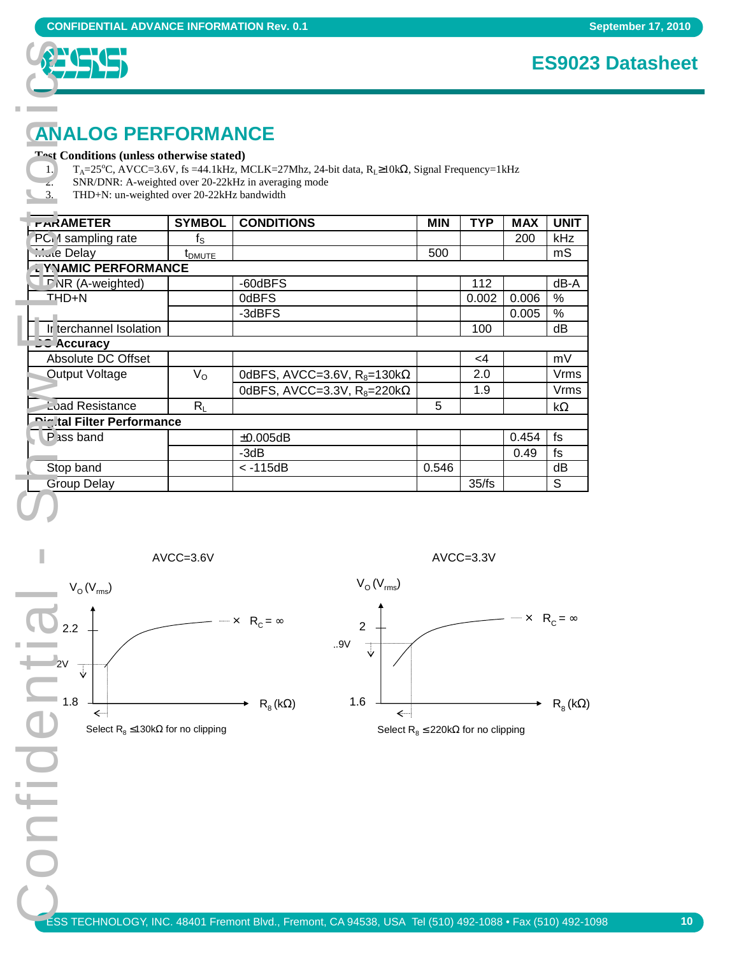

### **ES9023 Datasheet**

# **ANALOG PERFORMANCE**

| <b>CONFIDENTIAL ADVANCE INFORMATION Rev. 0.1</b>                                                                                                                                              |                    |                                                                                                                    |            |                                             |            | <b>ES902</b>                       |
|-----------------------------------------------------------------------------------------------------------------------------------------------------------------------------------------------|--------------------|--------------------------------------------------------------------------------------------------------------------|------------|---------------------------------------------|------------|------------------------------------|
| <b>ANALOG PERFORMANCE</b><br>Tost Conditions (unless otherwise stated)<br>1.<br>SNR/DNR: A-weighted over 20-22kHz in averaging mode<br>z.<br>3.<br>THD+N: un-weighted over 20-22kHz bandwidth |                    | $T_A = 25^{\circ}$ C, AVCC=3.6V, fs =44.1kHz, MCLK=27Mhz, 24-bit data, $R_L \ge 10k\Omega$ , Signal Frequency=1kHz |            |                                             |            |                                    |
| <b>FARAMETER</b>                                                                                                                                                                              | <b>SYMBOL</b>      | <b>CONDITIONS</b>                                                                                                  | <b>MIN</b> | <b>TYP</b>                                  | <b>MAX</b> | <b>UNIT</b>                        |
| PC 1 sampling rate                                                                                                                                                                            | $f_{\rm S}$        |                                                                                                                    |            |                                             | 200        | kHz                                |
| Mule Delay<br>YNAMIC PERFORMANCE                                                                                                                                                              | t <sub>DMUTE</sub> |                                                                                                                    | 500        |                                             |            | mS                                 |
| <b>DNR</b> (A-weighted)                                                                                                                                                                       |                    | -60dBFS                                                                                                            |            | 112                                         |            | $dB - A$                           |
| THD+N                                                                                                                                                                                         |                    | 0dBFS                                                                                                              |            | 0.002                                       | 0.006      | $\%$                               |
|                                                                                                                                                                                               |                    | -3dBFS                                                                                                             |            |                                             | 0.005      | $\%$                               |
| Ir terchannel Isolation                                                                                                                                                                       |                    |                                                                                                                    |            | 100                                         |            | dB                                 |
| <b>C</b> Accuracy                                                                                                                                                                             |                    |                                                                                                                    |            |                                             |            |                                    |
| Absolute DC Offset                                                                                                                                                                            |                    |                                                                                                                    |            | $<$ 4                                       |            | mV                                 |
| Output Voltage                                                                                                                                                                                | $V_{\rm O}$        | 0dBFS, AVCC=3.6V, $R_8$ =130k $\Omega$                                                                             |            | 2.0                                         |            | Vrms                               |
| Load Resistance                                                                                                                                                                               |                    | 0dBFS, AVCC=3.3V, $R_8$ =220k $\Omega$                                                                             | 5          | 1.9                                         |            | Vrms                               |
| <b>Digital Filter Performance</b>                                                                                                                                                             | $R_L$              |                                                                                                                    |            |                                             |            | $\mathsf{k}\Omega$                 |
| P iss band                                                                                                                                                                                    |                    | $\pm 0.005$ dB                                                                                                     |            |                                             | 0.454      | fs                                 |
|                                                                                                                                                                                               |                    | $-3dB$                                                                                                             |            |                                             | 0.49       | fs                                 |
| Stop band                                                                                                                                                                                     |                    | $< -115dB$                                                                                                         | 0.546      |                                             |            | dB                                 |
| <b>Group Delay</b>                                                                                                                                                                            |                    |                                                                                                                    |            | $\overline{35}$ /fs                         |            | S                                  |
|                                                                                                                                                                                               |                    |                                                                                                                    |            |                                             |            |                                    |
| $V_{O}(V_{rms})$                                                                                                                                                                              | AVCC=3.6V          | $V_{O}(V_{rms})$                                                                                                   |            | AVCC=3.3V                                   |            |                                    |
| 2.2                                                                                                                                                                                           |                    | $\times$ R <sub>C</sub> = $\infty$<br>$\overline{2}$<br>.9V<br>↓                                                   |            |                                             |            | $\times$ R <sub>C</sub> = $\infty$ |
| $-1.8$<br>←<br>Select $R_8 \le 130k\Omega$ for no clipping                                                                                                                                    |                    | 1.6<br>$\mathsf{R}_{8}(\mathsf{k}\Omega)$<br>↞                                                                     |            | Select $R_8 \le 220k\Omega$ for no clipping |            | $\mathsf{R}_{8}(\mathsf{k}\Omega)$ |
|                                                                                                                                                                                               |                    |                                                                                                                    |            |                                             |            |                                    |
|                                                                                                                                                                                               |                    |                                                                                                                    |            |                                             |            |                                    |
|                                                                                                                                                                                               |                    | $200$ TECHNOLOCY INC. 40404 Frament Plud. Frament, CA 04520, HOA. Tol (540) 402.4000 + Foy (540) 402.41            |            |                                             |            |                                    |



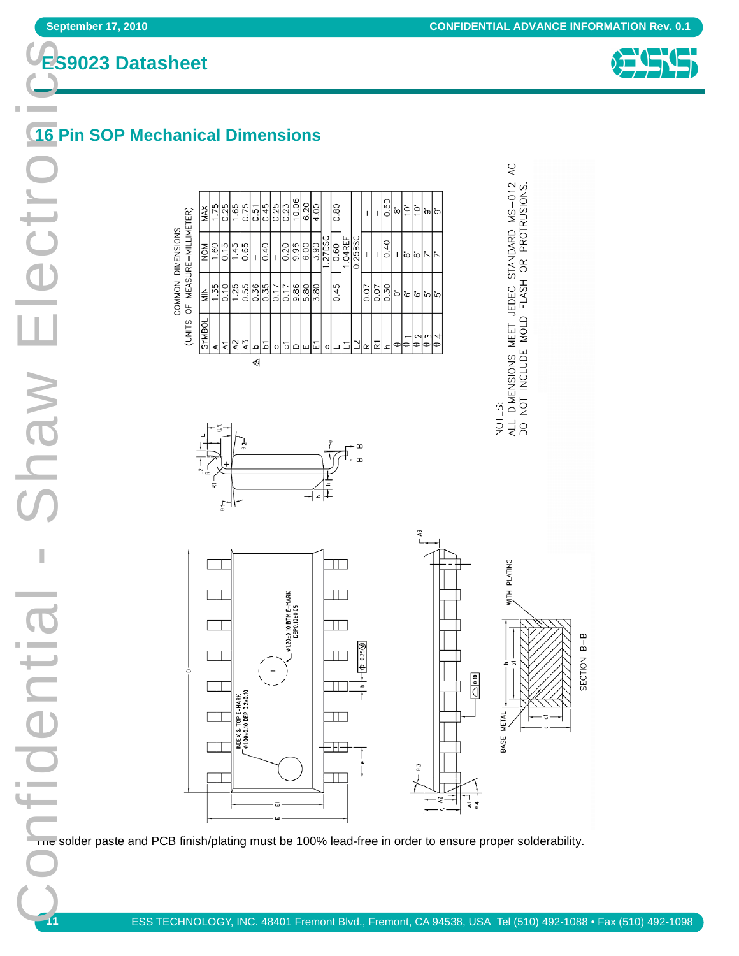

# **16 Pin SOP Mechanical Dimensions**

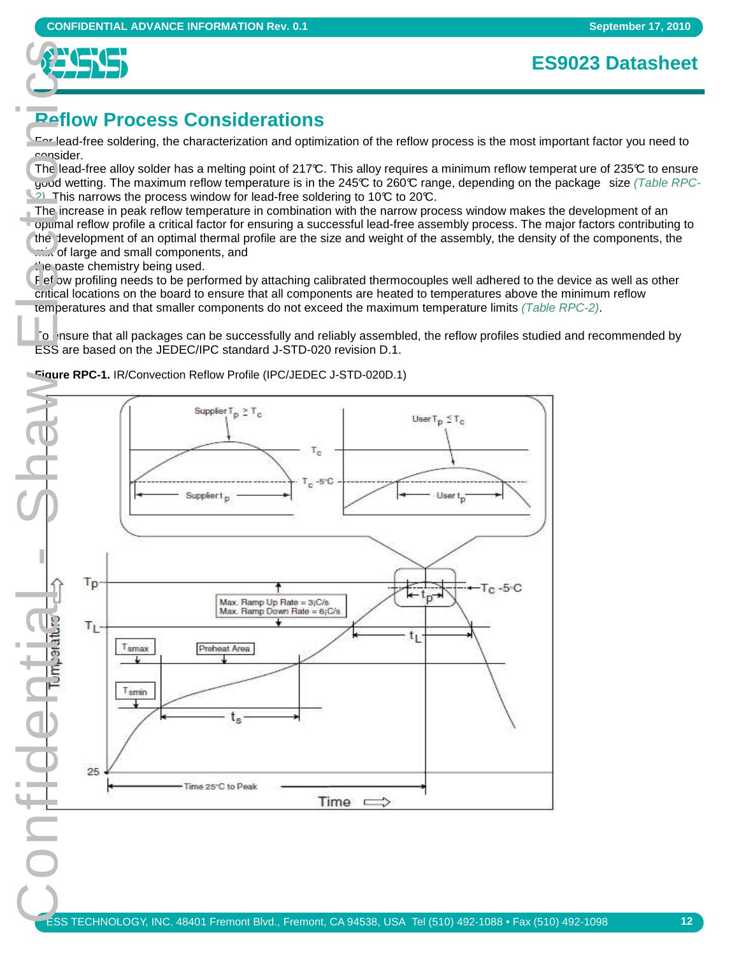

## **Reflow Process Considerations**

For lead-free soldering, the characterization and optimization of the reflow process is the most important factor you need to consider.

The lead-free alloy solder has a melting point of 217°C. This alloy requires a minimum reflow temperat ure of 235°C to ensure good wetting. The maximum reflow temperature is in the 245°C to 260°C range, depending on the package size (Table RPC- $2)$ . This narrows the process window for lead-free soldering to 10°C to 20°C.

The increase in peak reflow temperature in combination with the narrow process window makes the development of an optimal reflow profile a critical factor for ensuring a successful lead-free assembly process. The major factors contributing to the development of an optimal thermal profile are the size and weight of the assembly, the density of the components, the mix of large and small components, and

 $t$   $\epsilon$  paste chemistry being used.

F ef bw profiling needs to be performed by attaching calibrated thermocouples well adhered to the device as well as other critical locations on the board to ensure that all components are heated to temperatures above the minimum reflow temperatures and that smaller components do not exceed the maximum temperature limits (Table RPC-2).

To ensure that all packages can be successfully and reliably assembled, the reflow profiles studied and recommended by ESS are based on the JEDEC/IPC standard J-STD-020 revision D.1.

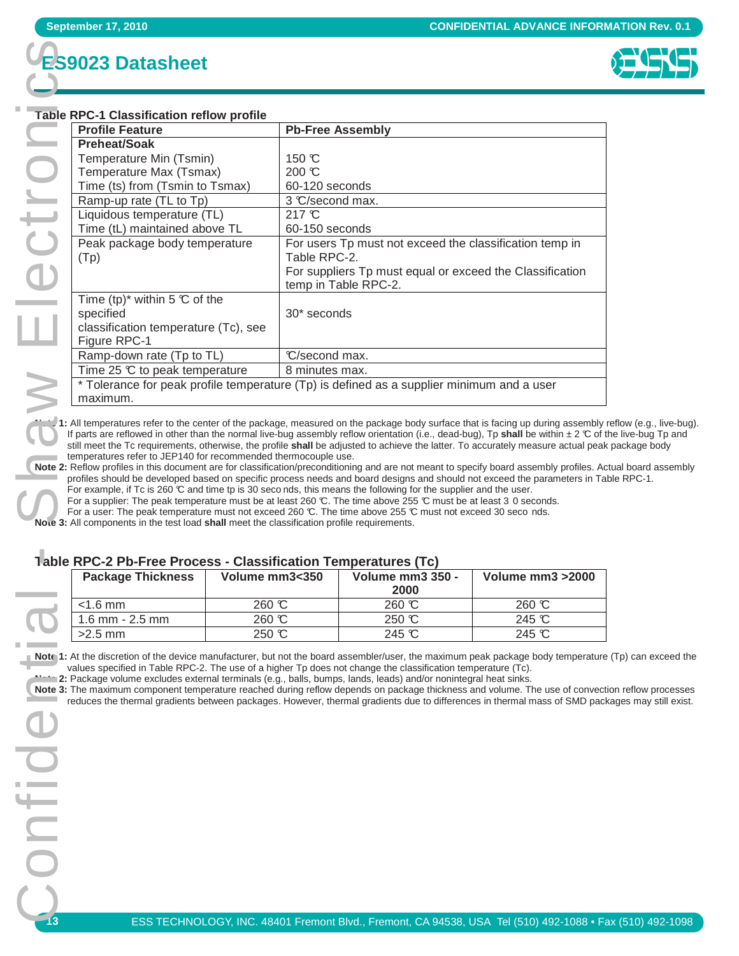# **ES9023 Datasheet**



#### **Table RPC-1 Classification reflow profile**

| <b>September 17, 2010</b>                                                                                                                                                                                                                                                             |                |                                                                                  |                                                                                                                                         | <b>CONFIDENTIAL ADVANCE INFOR</b> |  |  |
|---------------------------------------------------------------------------------------------------------------------------------------------------------------------------------------------------------------------------------------------------------------------------------------|----------------|----------------------------------------------------------------------------------|-----------------------------------------------------------------------------------------------------------------------------------------|-----------------------------------|--|--|
| <b>ES9023 Datasheet</b>                                                                                                                                                                                                                                                               |                |                                                                                  |                                                                                                                                         |                                   |  |  |
| <b>Table RPC-1 Classification reflow profile</b>                                                                                                                                                                                                                                      |                |                                                                                  |                                                                                                                                         |                                   |  |  |
| <b>Profile Feature</b><br><b>Preheat/Soak</b>                                                                                                                                                                                                                                         |                |                                                                                  | <b>Pb-Free Assembly</b>                                                                                                                 |                                   |  |  |
| Temperature Min (Tsmin)                                                                                                                                                                                                                                                               |                | 150 °C                                                                           |                                                                                                                                         |                                   |  |  |
| Temperature Max (Tsmax)<br>Time (ts) from (Tsmin to Tsmax)                                                                                                                                                                                                                            |                | 200 °C<br>60-120 seconds                                                         |                                                                                                                                         |                                   |  |  |
| Ramp-up rate (TL to Tp)                                                                                                                                                                                                                                                               |                | 3 C/second max.                                                                  |                                                                                                                                         |                                   |  |  |
| Liquidous temperature (TL)                                                                                                                                                                                                                                                            |                | 217 °C                                                                           |                                                                                                                                         |                                   |  |  |
| Time (tL) maintained above TL<br>Peak package body temperature                                                                                                                                                                                                                        |                | 60-150 seconds<br>For users Tp must not exceed the classification temp in        |                                                                                                                                         |                                   |  |  |
| (Tp)                                                                                                                                                                                                                                                                                  |                | Table RPC-2.                                                                     |                                                                                                                                         |                                   |  |  |
|                                                                                                                                                                                                                                                                                       |                | For suppliers Tp must equal or exceed the Classification<br>temp in Table RPC-2. |                                                                                                                                         |                                   |  |  |
| Time (tp)* within 5 $\mathbb C$ of the                                                                                                                                                                                                                                                |                |                                                                                  |                                                                                                                                         |                                   |  |  |
| specified                                                                                                                                                                                                                                                                             |                | 30* seconds                                                                      |                                                                                                                                         |                                   |  |  |
| classification temperature (Tc), see<br>Figure RPC-1                                                                                                                                                                                                                                  |                |                                                                                  |                                                                                                                                         |                                   |  |  |
| Ramp-down rate (Tp to TL)                                                                                                                                                                                                                                                             |                | C/second max.                                                                    |                                                                                                                                         |                                   |  |  |
| Time 25 $\mathbb C$ to peak temperature                                                                                                                                                                                                                                               |                | 8 minutes max.                                                                   |                                                                                                                                         |                                   |  |  |
| maximum.                                                                                                                                                                                                                                                                              |                |                                                                                  | * Tolerance for peak profile temperature (Tp) is defined as a supplier minimum and a user                                               |                                   |  |  |
| 1: All temperatures refer to the center of the package, measured on the package body surface that is facing up during assembly                                                                                                                                                        |                |                                                                                  |                                                                                                                                         |                                   |  |  |
| If parts are reflowed in other than the normal live-bug assembly reflow orientation (i.e., dead-bug), Tp shall be within $\pm 2 \, \mathbb{C}$ of<br>still meet the Tc requirements, otherwise, the profile shall be adjusted to achieve the latter. To accurately measure actual pea |                |                                                                                  |                                                                                                                                         |                                   |  |  |
| temperatures refer to JEP140 for recommended thermocouple use.                                                                                                                                                                                                                        |                |                                                                                  | Note 2: Reflow profiles in this document are for classification/preconditioning and are not meant to specify board assembly profiles. A |                                   |  |  |
|                                                                                                                                                                                                                                                                                       |                |                                                                                  |                                                                                                                                         |                                   |  |  |
| profiles should be developed based on specific process needs and board designs and should not exceed the parameters in Ta                                                                                                                                                             |                |                                                                                  |                                                                                                                                         |                                   |  |  |
| For example, if Tc is 260 $\mathbb C$ and time tp is 30 seconds, this means the following for the supplier and the user.<br>For a supplier: The peak temperature must be at least 260 °C. The time above 255 °C must be at least 3 0 seconds.                                         |                |                                                                                  |                                                                                                                                         |                                   |  |  |
| For a user: The peak temperature must not exceed 260 °C. The time above 255 °C must not exceed 30 seco nds.<br>Note 3: All components in the test load shall meet the classification profile requirements.                                                                            |                |                                                                                  |                                                                                                                                         |                                   |  |  |
|                                                                                                                                                                                                                                                                                       |                |                                                                                  |                                                                                                                                         |                                   |  |  |
| <b>1able RPC-2 Pb-Free Process - Classification Temperatures (Tc)</b><br><b>Package Thickness</b>                                                                                                                                                                                     | Volume mm3<350 |                                                                                  | Volume mm3 350 -                                                                                                                        | Volume mm3 > 2000                 |  |  |
| $<$ 1.6 mm                                                                                                                                                                                                                                                                            | 260 °C         |                                                                                  | 2000<br>260 °C                                                                                                                          |                                   |  |  |
| 1.6 mm - 2.5 mm                                                                                                                                                                                                                                                                       | 260 °C         |                                                                                  | 250 °C                                                                                                                                  | 260 °C<br>245 °C                  |  |  |
| $>2.5$ mm                                                                                                                                                                                                                                                                             | 250 °C         |                                                                                  | 245 °C                                                                                                                                  | 245 °C                            |  |  |
| Note 1: At the discretion of the device manufacturer, but not the board assembler/user, the maximum peak package body temperatur                                                                                                                                                      |                |                                                                                  |                                                                                                                                         |                                   |  |  |
| values specified in Table RPC-2. The use of a higher Tp does not change the classification temperature (Tc).<br>2: Package volume excludes external terminals (e.g., balls, bumps, lands, leads) and/or nonintegral heat sinks.                                                       |                |                                                                                  |                                                                                                                                         |                                   |  |  |
| Note 3: The maximum component temperature reached during reflow depends on package thickness and volume. The use of convec<br>reduces the thermal gradients between packages. However, thermal gradients due to differences in thermal mass of SMD pad                                |                |                                                                                  |                                                                                                                                         |                                   |  |  |
|                                                                                                                                                                                                                                                                                       |                |                                                                                  |                                                                                                                                         |                                   |  |  |
|                                                                                                                                                                                                                                                                                       |                |                                                                                  |                                                                                                                                         |                                   |  |  |
|                                                                                                                                                                                                                                                                                       |                |                                                                                  |                                                                                                                                         |                                   |  |  |
|                                                                                                                                                                                                                                                                                       |                |                                                                                  |                                                                                                                                         |                                   |  |  |
|                                                                                                                                                                                                                                                                                       |                |                                                                                  |                                                                                                                                         |                                   |  |  |
|                                                                                                                                                                                                                                                                                       |                |                                                                                  |                                                                                                                                         |                                   |  |  |
|                                                                                                                                                                                                                                                                                       |                |                                                                                  |                                                                                                                                         |                                   |  |  |
|                                                                                                                                                                                                                                                                                       |                |                                                                                  |                                                                                                                                         |                                   |  |  |
|                                                                                                                                                                                                                                                                                       |                |                                                                                  |                                                                                                                                         |                                   |  |  |
|                                                                                                                                                                                                                                                                                       |                |                                                                                  |                                                                                                                                         |                                   |  |  |

**Note 1:** All temperatures refer to the center of the package, measured on the package body surface that is facing up during assembly reflow (e.g., live-bug). If parts are reflowed in other than the normal live-bug assembly reflow orientation (i.e., dead-bug),  $\Gamma$ p shall be within  $\pm 2 \, \degree$  of the live-bug  $\Gamma$ p and still meet the Tc requirements, otherwise, the profile **shall** be adjusted to achieve the latter. To accurately measure actual peak package body temperatures refer to JEP140 for recommended thermocouple use.

**Note 2:** Reflow profiles in this document are for classification/preconditioning and are not meant to specify board assembly profiles. Actual board assembly profiles should be developed based on specific process needs and board designs and should not exceed the parameters in Table RPC-1. For example, if Tc is 260 °C and time tp is 30 seco nds, this means the following for the supplier and the user.

#### **Table RPC-2 Pb-Free Process - Classification Temperatures (Tc)**

| <b>Package Thickness</b> | Volume mm3<350 | <b>Volume mm3 350 -</b><br>2000 | Volume mm3 > 2000 |
|--------------------------|----------------|---------------------------------|-------------------|
| $<$ 1.6 mm               | 260 °C         | $260 \text{ C}$                 | $260 \text{ C}$   |
| $1.6$ mm - $2.5$ mm      | 260 °C         | 250 ℃                           | 245 °C            |
| $>2.5$ mm                | 250 C          | $245 \text{ C}$                 | 245 $\mathcal{C}$ |

Note 1: At the discretion of the device manufacturer, but not the board assembler/user, the maximum peak package body temperature (Tp) can exceed the values specified in Table RPC-2. The use of a higher Tp does not change the classification temperature (Tc).

**Note 3:** The maximum component temperature reached during reflow depends on package thickness and volume. The use of convection reflow processes reduces the thermal gradients between packages. However, thermal gradients due to differences in thermal mass of SMD packages may still exist.